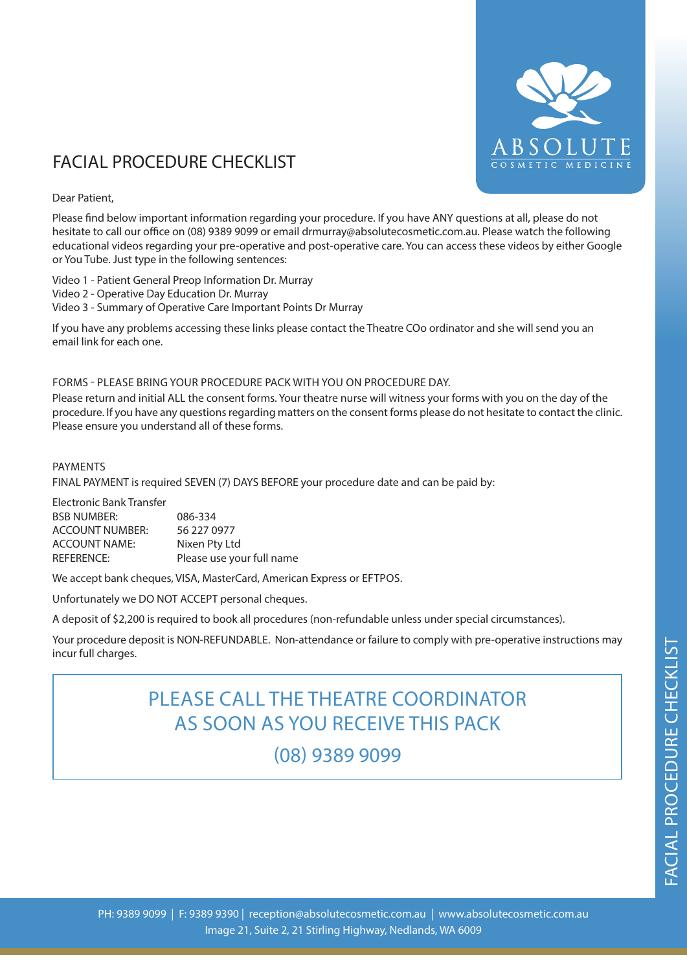

# FACIAL PROCEDURE CHECKLIST

# Dear Patient,

Please find below important information regarding your procedure. If you have ANY questions at all, please do not hesitate to call our office on (08) 9389 9099 or email drmurray@absolutecosmetic.com.au. Please watch the following educational videos regarding your pre-operative and post-operative care. You can access these videos by either Google or You Tube. Just type in the following sentences:

Video 1 - Patient General Preop Information Dr. Murray

- Video 2 Operative Day Education Dr. Murray
- Video 3 Summary of Operative Care Important Points Dr Murray

If you have any problems accessing these links please contact the Theatre COo ordinator and she will send you an email link for each one.

# FORMS - PLEASE BRING YOUR PROCEDURE PACK WITH YOU ON PROCEDURE DAY.

Please return and initial ALL the consent forms. Your theatre nurse will witness your forms with you on the day of the procedure. If you have any questions regarding matters on the consent forms please do not hesitate to contact the clinic. Please ensure you understand all of these forms.

# PAYMENTS

FINAL PAYMENT is required SEVEN (7) DAYS BEFORE your procedure date and can be paid by:

| Electronic Bank Transfer |                           |
|--------------------------|---------------------------|
| <b>BSB NUMBER:</b>       | 086-334                   |
| <b>ACCOUNT NUMBER:</b>   | 56 227 0977               |
| ACCOUNT NAME:            | Nixen Pty Ltd             |
| REFERENCE:               | Please use your full name |

We accept bank cheques, VISA, MasterCard, American Express or EFTPOS.

Unfortunately we DO NOT ACCEPT personal cheques.

A deposit of \$2,200 is required to book all procedures (non-refundable unless under special circumstances).

Your procedure deposit is NON-REFUNDABLE. Non-attendance or failure to comply with pre-operative instructions may incur full charges.

# PLEASE CALL THE THEATRE COORDINATOR AS SOON AS YOU RECEIVE THIS PACK

(08) 9389 9099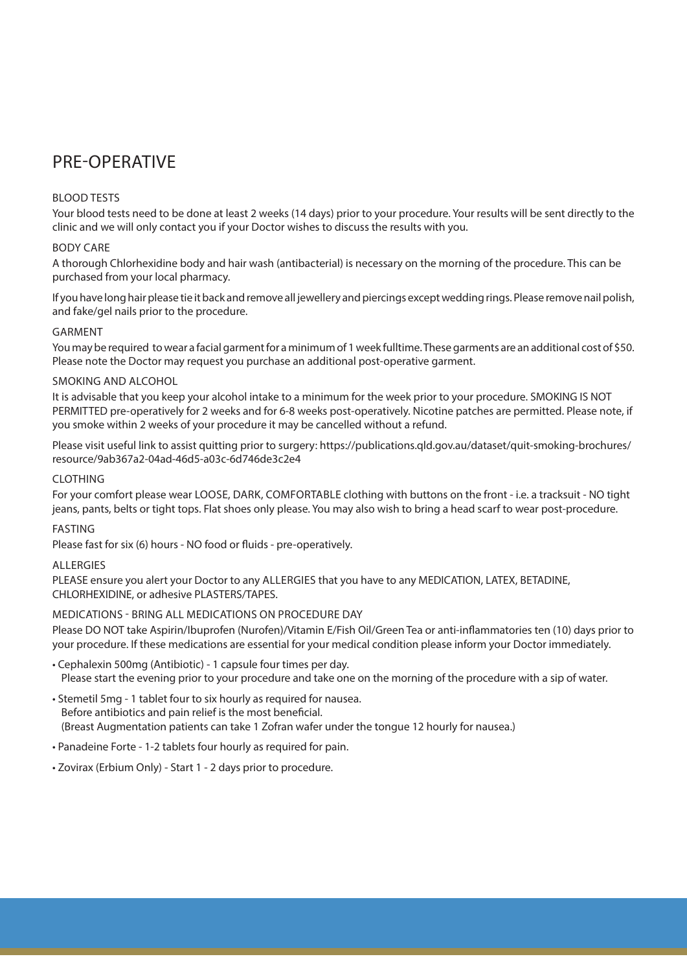# PRE-OPERATIVE

# BLOOD TESTS

Your blood tests need to be done at least 2 weeks (14 days) prior to your procedure. Your results will be sent directly to the clinic and we will only contact you if your Doctor wishes to discuss the results with you.

# BODY CARE

A thorough Chlorhexidine body and hair wash (antibacterial) is necessary on the morning of the procedure. This can be purchased from your local pharmacy.

If you have long hair please tie it back and remove all jewellery and piercings except wedding rings. Please remove nail polish, and fake/gel nails prior to the procedure.

# GARMENT

You may be required to wear a facial garment for a minimum of 1 week fulltime. These garments are an additional cost of \$50. Please note the Doctor may request you purchase an additional post-operative garment.

# SMOKING AND ALCOHOL

It is advisable that you keep your alcohol intake to a minimum for the week prior to your procedure. SMOKING IS NOT PERMITTED pre-operatively for 2 weeks and for 6-8 weeks post-operatively. Nicotine patches are permitted. Please note, if you smoke within 2 weeks of your procedure it may be cancelled without a refund.

Please visit useful link to assist quitting prior to surgery: https://publications.qld.gov.au/dataset/quit-smoking-brochures/ resource/9ab367a2-04ad-46d5-a03c-6d746de3c2e4

# CLOTHING

For your comfort please wear LOOSE, DARK, COMFORTABLE clothing with buttons on the front - i.e. a tracksuit - NO tight jeans, pants, belts or tight tops. Flat shoes only please. You may also wish to bring a head scarf to wear post-procedure.

# FASTING

Please fast for six (6) hours - NO food or fluids - pre-operatively.

# **ALLERGIES**

PLEASE ensure you alert your Doctor to any ALLERGIES that you have to any MEDICATION, LATEX, BETADINE, CHLORHEXIDINE, or adhesive PLASTERS/TAPES.

# MEDICATIONS - BRING ALL MEDICATIONS ON PROCEDURE DAY

Please DO NOT take Aspirin/Ibuprofen (Nurofen)/Vitamin E/Fish Oil/Green Tea or anti-inflammatories ten (10) days prior to your procedure. If these medications are essential for your medical condition please inform your Doctor immediately.

• Cephalexin 500mg (Antibiotic) - 1 capsule four times per day. Please start the evening prior to your procedure and take one on the morning of the procedure with a sip of water.

• Stemetil 5mg - 1 tablet four to six hourly as required for nausea. Before antibiotics and pain relief is the most beneficial.

(Breast Augmentation patients can take 1 Zofran wafer under the tongue 12 hourly for nausea.)

• Panadeine Forte - 1-2 tablets four hourly as required for pain.

• Zovirax (Erbium Only) - Start 1 - 2 days prior to procedure.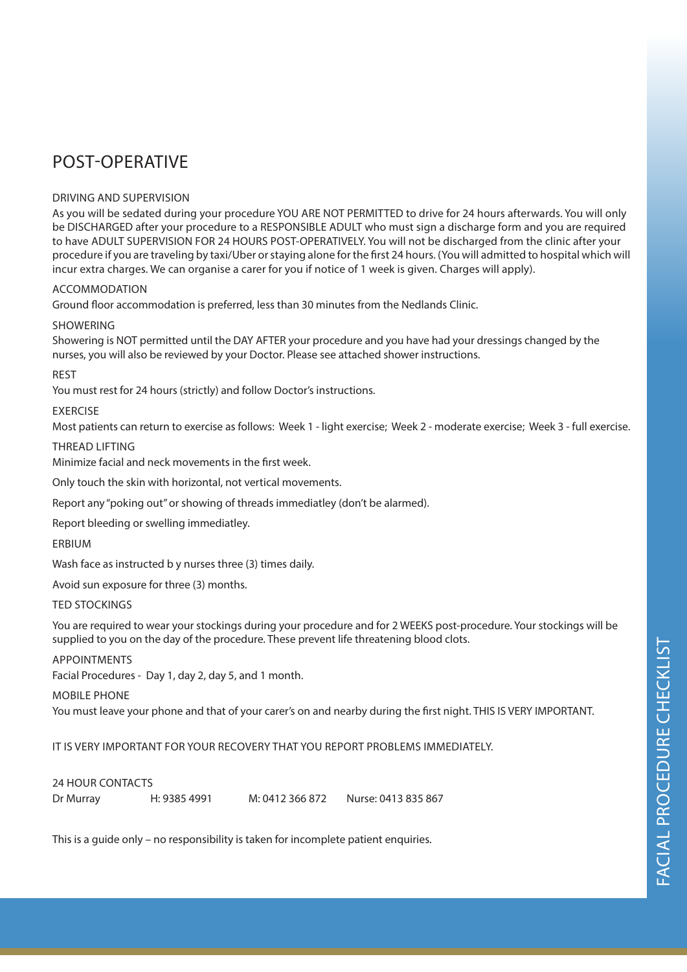# POST-OPERATIVE

# DRIVING AND SUPERVISION

As you will be sedated during your procedure YOU ARE NOT PERMITTED to drive for 24 hours afterwards. You will only be DISCHARGED after your procedure to a RESPONSIBLE ADULT who must sign a discharge form and you are required to have ADULT SUPERVISION FOR 24 HOURS POST-OPERATIVELY. You will not be discharged from the clinic after your procedure if you are traveling by taxi/Uber or staying alone for the first 24 hours. (You will admitted to hospital which will incur extra charges. We can organise a carer for you if notice of 1 week is given. Charges will apply).

# **ACCOMMODATION**

Ground floor accommodation is preferred, less than 30 minutes from the Nedlands Clinic.

### **SHOWERING**

Showering is NOT permitted until the DAY AFTER your procedure and you have had your dressings changed by the nurses, you will also be reviewed by your Doctor. Please see attached shower instructions.

### REST

You must rest for 24 hours (strictly) and follow Doctor's instructions.

### **EXERCISE**

Most patients can return to exercise as follows: Week 1 - light exercise; Week 2 - moderate exercise; Week 3 - full exercise.

### THREAD LIFTING

Minimize facial and neck movements in the first week.

Only touch the skin with horizontal, not vertical movements.

Report any "poking out" or showing of threads immediatley (don't be alarmed).

Report bleeding or swelling immediatley.

# ERBIUM

Wash face as instructed b y nurses three (3) times daily.

Avoid sun exposure for three (3) months.

#### TED STOCKINGS

You are required to wear your stockings during your procedure and for 2 WEEKS post-procedure. Your stockings will be supplied to you on the day of the procedure. These prevent life threatening blood clots.

#### APPOINTMENTS

Facial Procedures - Day 1, day 2, day 5, and 1 month.

#### MOBILE PHONE

You must leave your phone and that of your carer's on and nearby during the first night. THIS IS VERY IMPORTANT.

IT IS VERY IMPORTANT FOR YOUR RECOVERY THAT YOU REPORT PROBLEMS IMMEDIATELY.

# 24 HOUR CONTACTS

Dr Murray H: 9385 4991 M: 0412 366 872 Nurse: 0413 835 867

This is a guide only – no responsibility is taken for incomplete patient enquiries.